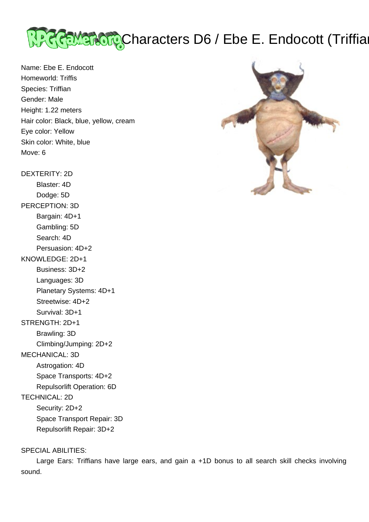

Name: Ebe E. Endocott Homeworld: Triffis Species: Triffian Gender: Male Height: 1.22 meters Hair color: Black, blue, yellow, cream Eye color: Yellow Skin color: White, blue Move: 6

DEXTERITY: 2D Blaster: 4D Dodge: 5D PERCEPTION: 3D Bargain: 4D+1 Gambling: 5D Search: 4D Persuasion: 4D+2 KNOWLEDGE: 2D+1 Business: 3D+2 Languages: 3D Planetary Systems: 4D+1 Streetwise: 4D+2 Survival: 3D+1 STRENGTH: 2D+1 Brawling: 3D Climbing/Jumping: 2D+2 MECHANICAL: 3D Astrogation: 4D Space Transports: 4D+2 Repulsorlift Operation: 6D TECHNICAL: 2D Security: 2D+2 Space Transport Repair: 3D Repulsorlift Repair: 3D+2

### SPECIAL ABILITIES:

 Large Ears: Triffians have large ears, and gain a +1D bonus to all search skill checks involving sound.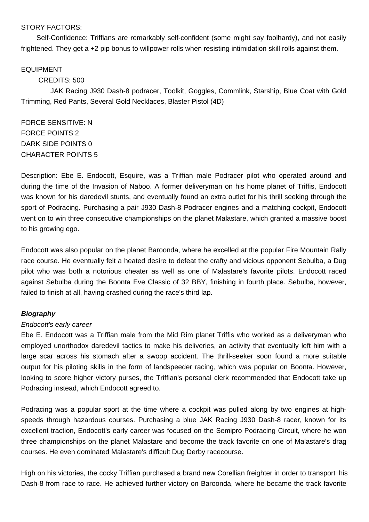### STORY FACTORS:

 Self-Confidence: Triffians are remarkably self-confident (some might say foolhardy), and not easily frightened. They get a +2 pip bonus to willpower rolls when resisting intimidation skill rolls against them.

### EQUIPMENT

## CREDITS: 500

 JAK Racing J930 Dash-8 podracer, Toolkit, Goggles, Commlink, Starship, Blue Coat with Gold Trimming, Red Pants, Several Gold Necklaces, Blaster Pistol (4D)

FORCE SENSITIVE: N FORCE POINTS 2 DARK SIDE POINTS 0 CHARACTER POINTS 5

Description: Ebe E. Endocott, Esquire, was a Triffian male Podracer pilot who operated around and during the time of the Invasion of Naboo. A former deliveryman on his home planet of Triffis, Endocott was known for his daredevil stunts, and eventually found an extra outlet for his thrill seeking through the sport of Podracing. Purchasing a pair J930 Dash-8 Podracer engines and a matching cockpit, Endocott went on to win three consecutive championships on the planet Malastare, which granted a massive boost to his growing ego.

Endocott was also popular on the planet Baroonda, where he excelled at the popular Fire Mountain Rally race course. He eventually felt a heated desire to defeat the crafty and vicious opponent Sebulba, a Dug pilot who was both a notorious cheater as well as one of Malastare's favorite pilots. Endocott raced against Sebulba during the Boonta Eve Classic of 32 BBY, finishing in fourth place. Sebulba, however, failed to finish at all, having crashed during the race's third lap.

### **Biography**

### Endocott's early career

Ebe E. Endocott was a Triffian male from the Mid Rim planet Triffis who worked as a deliveryman who employed unorthodox daredevil tactics to make his deliveries, an activity that eventually left him with a large scar across his stomach after a swoop accident. The thrill-seeker soon found a more suitable output for his piloting skills in the form of landspeeder racing, which was popular on Boonta. However, looking to score higher victory purses, the Triffian's personal clerk recommended that Endocott take up Podracing instead, which Endocott agreed to.

Podracing was a popular sport at the time where a cockpit was pulled along by two engines at highspeeds through hazardous courses. Purchasing a blue JAK Racing J930 Dash-8 racer, known for its excellent traction, Endocott's early career was focused on the Semipro Podracing Circuit, where he won three championships on the planet Malastare and become the track favorite on one of Malastare's drag courses. He even dominated Malastare's difficult Dug Derby racecourse.

High on his victories, the cocky Triffian purchased a brand new Corellian freighter in order to transport his Dash-8 from race to race. He achieved further victory on Baroonda, where he became the track favorite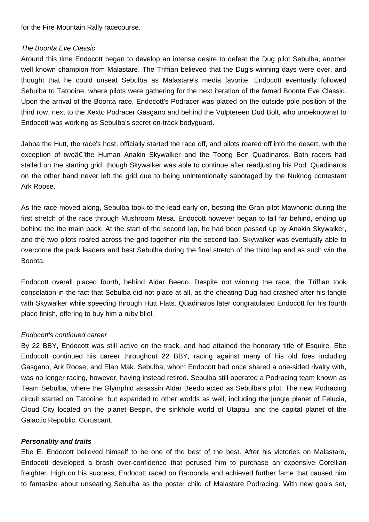for the Fire Mountain Rally racecourse.

#### The Boonta Eve Classic

Around this time Endocott began to develop an intense desire to defeat the Dug pilot Sebulba, another well known champion from Malastare. The Triffian believed that the Dug's winning days were over, and thought that he could unseat Sebulba as Malastare's media favorite. Endocott eventually followed Sebulba to Tatooine, where pilots were gathering for the next iteration of the famed Boonta Eve Classic. Upon the arrival of the Boonta race, Endocott's Podracer was placed on the outside pole position of the third row, next to the Xexto Podracer Gasgano and behind the Vulptereen Dud Bolt, who unbeknownst to Endocott was working as Sebulba's secret on-track bodyguard.

Jabba the Hutt, the race's host, officially started the race off, and pilots roared off into the desert, with the exception of twoâ€"the Human Anakin Skywalker and the Toong Ben Quadinaros. Both racers had stalled on the starting grid, though Skywalker was able to continue after readjusting his Pod. Quadinaros on the other hand never left the grid due to being unintentionally sabotaged by the Nuknog contestant Ark Roose.

As the race moved along, Sebulba took to the lead early on, besting the Gran pilot Mawhonic during the first stretch of the race through Mushroom Mesa. Endocott however began to fall far behind, ending up behind the the main pack. At the start of the second lap, he had been passed up by Anakin Skywalker, and the two pilots roared across the grid together into the second lap. Skywalker was eventually able to overcome the pack leaders and best Sebulba during the final stretch of the third lap and as such win the Boonta.

Endocott overall placed fourth, behind Aldar Beedo. Despite not winning the race, the Triffian took consolation in the fact that Sebulba did not place at all, as the cheating Dug had crashed after his tangle with Skywalker while speeding through Hutt Flats. Quadinaros later congratulated Endocott for his fourth place finish, offering to buy him a ruby bliel.

### Endocott's continued career

By 22 BBY, Endocott was still active on the track, and had attained the honorary title of Esquire. Ebe Endocott continued his career throughout 22 BBY, racing against many of his old foes including Gasgano, Ark Roose, and Elan Mak. Sebulba, whom Endocott had once shared a one-sided rivalry with, was no longer racing, however, having instead retired. Sebulba still operated a Podracing team known as Team Sebulba, where the Glymphid assassin Aldar Beedo acted as Sebulba's pilot. The new Podracing circuit started on Tatooine, but expanded to other worlds as well, including the jungle planet of Felucia, Cloud City located on the planet Bespin, the sinkhole world of Utapau, and the capital planet of the Galactic Republic, Coruscant.

### **Personality and traits**

Ebe E. Endocott believed himself to be one of the best of the best. After his victories on Malastare, Endocott developed a brash over-confidence that perused him to purchase an expensive Corellian freighter. High on his success, Endocott raced on Baroonda and achieved further fame that caused him to fantasize about unseating Sebulba as the poster child of Malastare Podracing. With new goals set,